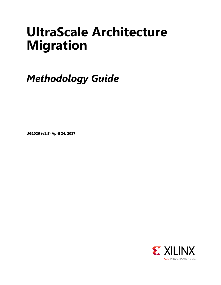# **UltraScale Architecture Migration**

*Methodology Guide*

**UG1026 (v1.5) April 24, 2017**

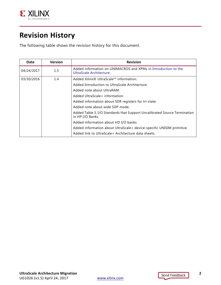

## <span id="page-1-0"></span>**Revision History**

The following table shows the revision history for this document.

| Date       | <b>Version</b> | <b>Revision</b>                                                                              |
|------------|----------------|----------------------------------------------------------------------------------------------|
| 04/24/2017 | 1.5            | Added information on UNIMACROS and XPMs in Introduction to the<br>UltraScale Architecture.   |
| 03/30/2016 | $1.4^{\circ}$  | Added Xilinx® UltraScale™ information:                                                       |
|            |                | Added Introduction to UltraScale Architecture.                                               |
|            |                | Added note about UltraRAM.                                                                   |
|            |                | Added UltraScale+ information.                                                               |
|            |                | Added information about SDR registers for tri-state.                                         |
|            |                | Added note about wide SDP mode.                                                              |
|            |                | Added Table 3, I/O Standards that Support Uncalibrated Source Termination<br>in HP I/O Banks |
|            |                | Added information about HD I/O banks                                                         |
|            |                | Added information about UltraScale+ device-specific UNISIM primitive.                        |
|            |                | Added link to UltraScale+ Architecture data sheets.                                          |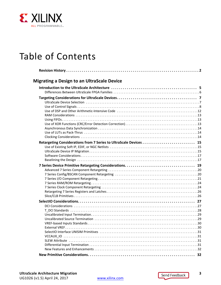

## Table of Contents

| <b>Migrating a Design to an UltraScale Device</b>                  |  |
|--------------------------------------------------------------------|--|
|                                                                    |  |
|                                                                    |  |
|                                                                    |  |
|                                                                    |  |
|                                                                    |  |
|                                                                    |  |
|                                                                    |  |
|                                                                    |  |
|                                                                    |  |
|                                                                    |  |
| Retargeting Considerations from 7 Series to UltraScale Devices  15 |  |
|                                                                    |  |
|                                                                    |  |
|                                                                    |  |
|                                                                    |  |
|                                                                    |  |
|                                                                    |  |
|                                                                    |  |
|                                                                    |  |
|                                                                    |  |
|                                                                    |  |
|                                                                    |  |
|                                                                    |  |
|                                                                    |  |
|                                                                    |  |
|                                                                    |  |
|                                                                    |  |
|                                                                    |  |
|                                                                    |  |
|                                                                    |  |
|                                                                    |  |
|                                                                    |  |
|                                                                    |  |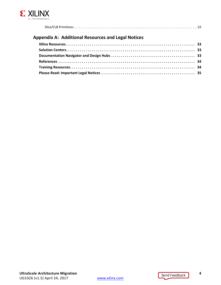

|--|--|

#### **[Appendix A: Additional Resources and Legal Notices](#page-32-0)**

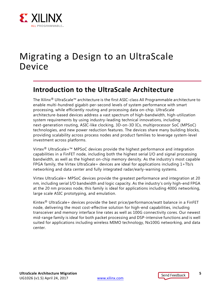

## <span id="page-4-1"></span>Migrating a Design to an UltraScale Device

### <span id="page-4-2"></span><span id="page-4-0"></span>**Introduction to the UltraScale Architecture**

The Xilinx® UltraScale™ architecture is the first ASIC-class All Programmable architecture to enable multi-hundred gigabit-per-second levels of system performance with smart processing, while efficiently routing and processing data on-chip. UltraScale architecture-based devices address a vast spectrum of high-bandwidth, high-utilization system requirements by using industry-leading technical innovations, including next-generation routing, ASIC-like clocking, 3D-on-3D ICs, multiprocessor SoC (MPSoC) technologies, and new power reduction features. The devices share many building blocks, providing scalability across process nodes and product families to leverage system-level investment across platforms.

Virtex<sup>®</sup> UltraScale+™ MPSoC devices provide the highest performance and integration capabilities in a FinFET node, including both the highest serial I/O and signal processing bandwidth, as well as the highest on-chip memory density. As the industry's most capable FPGA family, the Virtex UltraScale+ devices are ideal for applications including 1+Tb/s networking and data center and fully integrated radar/early-warning systems.

Virtex UltraScale+ MPSoC devices provide the greatest performance and integration at 20 nm, including serial I/O bandwidth and logic capacity. As the industry's only high-end FPGA at the 20 nm process node, this family is ideal for applications including 400G networking, large scale ASIC prototyping, and emulation.

Kintex<sup>®</sup> UltraScale+ devices provide the best price/performance/watt balance in a FinFET node, delivering the most cost-effective solution for high-end capabilities, including transceiver and memory interface line rates as well as 100G connectivity cores. Our newest mid-range family is ideal for both packet processing and DSP-intensive functions and is well suited for applications including wireless MIMO technology, Nx100G networking, and data center.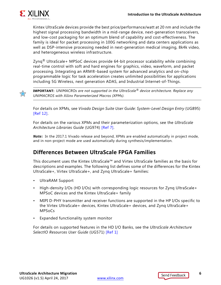

Kintex UltraScale devices provide the best price/performance/watt at 20 nm and include the highest signal processing bandwidth in a mid-range device, next-generation transceivers, and low-cost packaging for an optimum blend of capability and cost-effectiveness. The family is ideal for packet processing in 100G networking and data centers applications as well as DSP-intensive processing needed in next-generation medical imaging, 8k4k video, and heterogeneous wireless infrastructure.

 $\text{Zyng}^{\text{\textregistered}}$  UltraScale+ MPSoC devices provide 64-bit processor scalability while combining real-time control with soft and hard engines for graphics, video, waveform, and packet processing. Integrating an ARM®-based system for advanced analytics and on-chip programmable logic for task acceleration creates unlimited possibilities for applications including 5G Wireless, next generation ADAS, and Industrial Internet-of-Things.



**IMPORTANT:** *UNIMACROs are not supported in the UltraScale® device architecture. Replace any UNIMACROS with Xilinx Parameterized Macros (XPMs).*

For details on XPMs, see *Vivado Design Suite User Guide: System-Level Design Entry* (UG895) [\[Ref 12\].](#page-33-3)

For details on the various XPMs and their parameterization options, see the *UltraScale Architecture Libraries Guide* (UG974) [\[Ref 7\].](#page-33-4)

*Note:* In the 2017.1 Vivado release and beyond, XPMs are enabled automatically in project mode, and in non-project mode are used automatically during synthesis/implementation.

### <span id="page-5-0"></span>**Differences Between UltraScale FPGA Families**

This document uses the Kintex UltraScale™ and Virtex UltraScale families as the basis for descriptions and examples. The following list defines some of the differences for the Kintex UltraScale+, Virtex UltraScale+, and Zynq UltraScale+ families:

- UltraRAM Support
- High-density I/Os (HD I/Os) with corresponding logic resources for Zynq UltraScale+ MPSoC devices and the Kintex UltraScale+ family
- MIPI D-PHY transmitter and receiver functions are supported in the HP I/Os specific to the Virtex UltraScale+ devices, Kintex UltraScale+ devices, and Zynq UltraScale+ MPSoCs
- Expanded functionality system monitor

For details on supported features in the HD I/O Banks, see the *UltraScale Architecture SelectIO Resources User Guide* (UG571) [\[Ref 1\]](#page-33-2)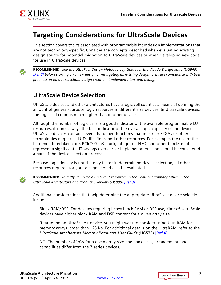

### <span id="page-6-0"></span>**Targeting Considerations for UltraScale Devices**

This section covers topics associated with programmable logic design implementations that are not technology-specific. Consider the concepts described when evaluating existing design source for potential migration to UltraScale devices or when developing new code for use in UltraScale devices.

**RECOMMENDED:** *See the UltraFast Design Methodology Guide for the Vivado Design Suite (UG949) [\[Ref 2\]](#page-33-5) before starting on a new design or retargeting an existing design to ensure compliance with best practices in pinout selection, design creation, implementation, and debug.*

### <span id="page-6-1"></span>**UltraScale Device Selection**

UltraScale devices and other architectures have a logic cell count as a means of defining the amount of general-purpose logic resources in different size devices. In UltraScale devices, the logic cell count is much higher than in other devices.

Although the number of logic cells is a good indicator of the available programmable LUT resources, it is not always the best indicator of the overall logic capacity of the device. UltraScale devices contain several hardened functions that in earlier FPGAs or other technologies might use LUTs, flip-flops, and other resources. For example, the use of the hardened Interlaken core, PCIe<sup>®</sup> Gen3 block, integrated FIFO, and other blocks might represent a significant LUT savings over earlier implementations and should be considered a part of the device selection process.

Because logic density is not the only factor in determining device selection, all other resources required for your design should also be evaluated.



**RECOMMENDED:** *Initially compare all relevant resources in the Feature Summary tables in the UltraScale Architecture and Product Overview (DS890) [\[Ref 3\]](#page-33-6).*

Additional considerations that help determine the appropriate UltraScale device selection include:

Block RAM/DSP: For designs requiring heavy block RAM or DSP use, Kintex<sup>®</sup> UltraScale devices have higher block RAM and DSP content for a given array size.

If targeting an UltraScale+ device, you might want to consider using UltraRAM for memory arrays larger than 128 Kb. For additional details on the UltraRAM, refer to the *UltraScale Architecture Memory Resources User Guide* (UG573) [\[Ref 4\].](#page-33-7)

• I/O: The number of I/Os for a given array size, the bank sizes, arrangement, and capabilities differ from the 7 series devices.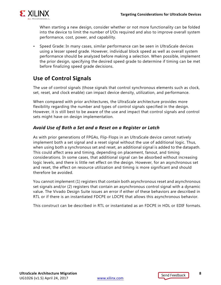

When starting a new design, consider whether or not more functionality can be folded into the device to limit the number of I/Os required and also to improve overall system performance, cost, power, and capability.

• Speed Grade: In many cases, similar performance can be seen in UltraScale devices using a lesser speed grade. However, individual block speed as well as overall system performance should be analyzed before making a selection. When possible, implement the prior design, specifying the desired speed grade to determine if timing can be met before finalizing speed grade decisions.

### <span id="page-7-0"></span>**Use of Control Signals**

The use of control signals (those signals that control synchronous elements such as clock, set, reset, and clock enable) can impact device density, utilization, and performance.

When compared with prior architectures, the UltraScale architecture provides more flexibility regarding the number and types of control signals specified in the design. However, it is still best to be aware of the use and impact that control signals and control sets might have on design implementation.

#### *Avoid Use of Both a Set and a Reset on a Register or Latch*

As with prior generations of FPGAs, Flip-Flops in an UltraScale device cannot natively implement both a set signal and a reset signal without the use of additional logic. Thus, when using both a synchronous set and reset, an additional signal is added to the datapath. This could affect area and timing, depending on placement, fanout, and timing considerations. In some cases, that additional signal can be absorbed without increasing logic levels, and there is little net effect on the design. However, for an asynchronous set and reset, the effect on resource utilization and timing is more significant and should therefore be avoided.

You cannot implement (1) registers that contain both asynchronous reset and asynchronous set signals and/or (2) registers that contain an asynchronous control signal with a dynamic value. The Vivado Design Suite issues an error if either of these behaviors are described in RTL or if there is an instantiated FDCPE or LDCPE that allows this asynchronous behavior.

This construct can be described in RTL or instantiated as an FDCPE in HDL or EDIF formats.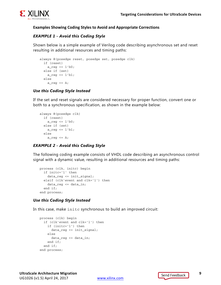

#### **Examples Showing Coding Styles to Avoid and Appropriate Corrections**

#### *EXAMPLE 1 - Avoid this Coding Style*

Shown below is a simple example of Verilog code describing asynchronous set and reset resulting in additional resources and timing paths:

```
always @(posedge reset, posedge set, posedge clk)
   if (reset)
    a_{reg} \leq 1'b0; else if (set)
    a_{reg} \leq 1'b1; else
    a_reg \leq A;
```
#### *Use this Coding Style Instead*

If the set and reset signals are considered necessary for proper function, convert one or both to a synchronous specification, as shown in the example below:

```
always @(posedge clk)
   if (reset)
    a_{reg} \leq 1'b0; else if (set)
    a_{reg} \leq 1'b1; else
    a req \leq A;
```
#### *EXAMPLE 2 - Avoid this Coding Style*

The following coding example consists of VHDL code describing an asynchronous control signal with a dynamic value, resulting in additional resources and timing paths:

```
process (clk, initc) begin
   if initc='1' then
     data_reg <= init_signal;
   elsif (clk'event and clk='1') then
     data_reg <= data_in;
   end if;
end process;
```
#### *Use this Coding Style Instead*

In this case, make initc synchronous to build an improved circuit:

```
process (clk) begin
  if (clk'event and clk='1') then 
     if (initc='1') then
       data_reg <= init_signal;
     else 
       data_reg <= data_in;
     end if;
   end if;
end process;
```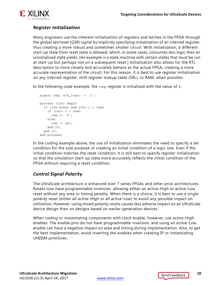

### *Register Initialization*

Many engineers use the inherent initialization of registers and latches in the FPGA through the global set/reset (GSR) signal by implicitly specifying initialization of an inferred register, thus creating a more robust and sometimes smaller circuit. With initialization, a different start-up state from reset state is allowed, which, in some cases, consumes less logic than an uninitialized state yields. (An example is a state machine with certain states that must be run at start-up but perhaps not on a subsequent reset.) Initialization also allows for the RTL description to more closely and accurately behave as the actual FPGA, creating a more accurate representation of the circuit. For this reason, it is best to use register initialization on any inferred register, shift register lookup table (SRL), or RAM, when possible.

In the following code example, the  $r = r$  register is initialized with the value of 1:

```
signal reg: std_logic := '1';
   ...
process (clk) begin
   if (clk'event and clk='1') then
     if (rst='1') then
       reg <= '0';
     else
      reg \le val;
     end if;
   end if;
end process;
```
In the coding example above, the use of initialization eliminates the need to specify a set condition for the sole purpose of creating an initial condition of a logic one. Even if the initial condition matches the reset condition, it is still best to specify register initialization so that the simulation start-up state more accurately reflects the initial condition of the FPGA without requiring a reset condition.

#### *Control Signal Polarity*

The UltraScale architecture is enhanced over 7 series FPGAs and other prior architectures. Resets now have programmable inversion, allowing either an active-High or active-Low reset without any area or timing penalty. When there is a choice, it is best to use a single polarity reset (either all active-High or all active-Low) to avoid any possible impact on utilization. However, using mixed polarity resets causes less adverse impact on an UltraScale device design than on designs based on earlier-generation devices.

When coding or instantiating components with clock enable, however, use active-High enables. The enable pins do not have programmable inversion, and using an active-Low enable can have a negative impact on area and timing during implementation. Also, to get the best implementation, avoid inverting the enables when creating IP or instantiating UNISIM primitives.

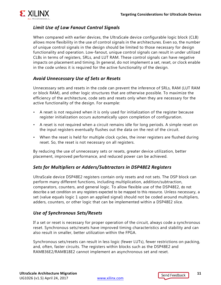

### *Limit Use of Low Fanout Control Signals*

When compared with earlier devices, the UltraScale device configurable logic block (CLB) allows more flexibility in the use of control signals in the architectures. Even so, the number of unique control signals in the design should be limited to those necessary for design functionality and operation. Low-fanout, unique control signals can result in under utilized CLBs in terms of registers, SRLs, and LUT RAM. These control signals can have negative impacts on placement and timing. In general, do not implement a set, reset, or clock enable in the code unless it is required for the active functionality of the design.

#### *Avoid Unnecessary Use of Sets or Resets*

Unnecessary sets and resets in the code can prevent the inference of SRLs, RAM (LUT RAM or block RAM), and other logic structures that are otherwise possible. To maximize the efficiency of the architecture, code sets and resets only when they are necessary for the active functionality of the design. For example:

- A reset is not required when it is only used for initialization of the register because register initialization occurs automatically upon completion of configuration.
- A reset is not required when a circuit remains idle for long periods. A simple reset on the input registers eventually flushes out the data on the rest of the circuit.
- When the reset is held for multiple clock cycles, the inner registers are flushed during reset. So, the reset is not necessary on all registers.

By reducing the use of unnecessary sets or resets, greater device utilization, better placement, improved performance, and reduced power can be achieved.

#### *Sets for Multipliers or Adders/Subtractors in DSP48E2 Registers*

UltraScale device DSP48E2 registers contain only resets and not sets. The DSP block can perform many different functions, including multiplication, addition/subtraction, comparators, counters, and general logic. To allow flexible use of the DSP48E2, do not describe a set condition on any registers expected to be mapped to this resource. Unless necessary, a set (value equals logic 1 upon an applied signal) should not be coded around multipliers, adders, counters, or other logic that can be implemented within a DSP48E2 slice.

#### *Use of Synchronous Sets/Resets*

If a set or reset is necessary for proper operation of the circuit, always code a synchronous reset. Synchronous sets/resets have improved timing characteristics and stability and can also result in smaller, better utilization within the FPGA.

Synchronous sets/resets can result in less logic (fewer LUTs), fewer restrictions on packing, and, often, faster circuits. The registers within blocks such as the DSP48E2 and RAMB36E2/RAMB18E2 cannot implement an asynchronous set and reset.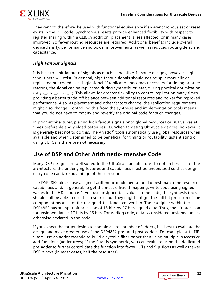

They cannot, therefore, be used with functional equivalence if an asynchronous set or reset exists in the RTL code. Synchronous resets provide enhanced flexibility with respect to register sharing within a CLB. In addition, placement is less affected, or in many cases, improved, so fewer routing resources are required. Additional benefits include overall device density, performance and power improvements, as well as reduced routing delay and capacitance.

#### *High Fanout Signals*

It is best to limit fanout of signals as much as possible. In some designs, however, high fanout nets will exist. In general, high fanout signals should not be split manually or replicated but coded as a single signal. If replication becomes necessary for timing or other reasons, the signal can be replicated during synthesis, or later, during physical optimization (phys\_opt\_design). This allows for greater flexibility to control replication many times, providing a better trade-off balance between additional resources and power for improved performance. Also, as placement and other factors change, the replication requirements might also change. Controlling this from the synthesis and implementation tools means that you do not have to modify and reverify the original code for such changes.

In prior architectures, placing high fanout signals onto global resources or BUFGs was at times preferable and yielded better results. When targeting UltraScale devices, however, it is generally best not to do this. The Vivado<sup>®</sup> tools automatically use global resources when available and when determined to be beneficial for timing or routability. Instantiating or using BUFGs is therefore not necessary.

### <span id="page-11-0"></span>**Use of DSP and Other Arithmetic-Intensive Code**

Many DSP designs are well suited to the UltraScale architecture. To obtain best use of the architecture, the underlying features and capabilities must be understood so that design entry code can take advantage of these resources.

The DSP48E2 blocks use a signed arithmetic implementation. To best match the resource capabilities and, in general, to get the most efficient mapping, write code using signed values in the HDL source. If you use unsigned bus values in the code, the synthesis tools should still be able to use this resource, but they might not get the full bit precision of the component because of the unsigned-to-signed conversion. The multiplier within the DSP48E2 has an input bit precision of 18 bits by 27 bits signed data. Thus, the bit precision for unsigned data is 17 bits by 26 bits. For Verilog code, data is considered unsigned unless otherwise declared in the code.

If you expect the target design to contain a large number of adders, it is best to evaluate the design and make greater use of the DSP48E2 pre- and post-adders. For example, with FIR filters, use an adder cascade to build a systolic filter rather than using multiple, successive add functions (adder trees). If the filter is symmetric, you can evaluate using the dedicated pre-adder to further consolidate the function into fewer LUTs and flip-flops as well as fewer DSP blocks (in most cases, half the resources).

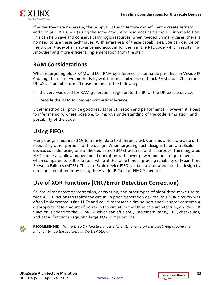

If adder trees are necessary, the 6-input LUT architecture can efficiently create ternary addition  $(A + B + C = D)$  using the same amount of resources as a simple 2-input addition. This can help save and conserve carry logic resources, when needed. In many cases, there is no need to use these techniques. With awareness of these capabilities, you can decide on the proper trade-offs in advance and account for them in the RTL code, which results in a smoother and more efficient implementation from the start.

### <span id="page-12-0"></span>**RAM Considerations**

When retargeting block RAM and LUT RAM by inference, instantiated primitive, or Vivado IP Catalog, there are two methods by which to maximize use of block RAM and LUTs in the UltraScale architecture. Choose the one of the following:

- If a core was used for RAM generation, regenerate the IP for the UltraScale device.
- Recode the RAM for proper synthesis inference.

Either method can provide good results for utilization and performance. However, it is best to infer memory, where possible, to improve understanding of the code, simulation, and portability of the code.

### <span id="page-12-1"></span>**Using FIFOs**

Many designs require FIFOs to transfer data to different clock domains or to store data until needed by other portions of the design. When targeting such designs to an UltraScale device, consider using one of the dedicated FIFO structures for this purpose. The integrated FIFOs generally allow higher speed operation with lower power and area requirements when compared to soft solutions, while at the same time improving reliability or Mean Time Between Failures (MTBF). The UltraScale device FIFO can be incorporated into the design by direct instantiation or by using the Vivado IP Catalog FIFO Generator.

### <span id="page-12-2"></span>**Use of XOR Functions (CRC/Error Detection Correction)**

Several error detection/correction, encryption, and other types of algorithms make use of wide XOR functions to realize the circuit. In prior-generation devices, this XOR circuitry was often implemented using LUTs and could represent a timing bottleneck and/or consume a disproportionate amount of power in the circuit. In the UltraScale architecture, a wide XOR function is added to the DSP48E2, which can efficiently implement parity, CRC, checksums, and other functions requiring large XOR computations.

**RECOMMENDED:** *To use the XOR function most efficiently, ensure proper pipelining around the function to use the registers in the DSP block.*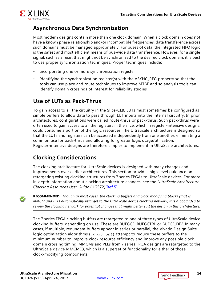

### <span id="page-13-0"></span>**Asynchronous Data Synchronization**

Most modern designs contain more than one clock domain. When a clock domain does not have a known phase relationship and/or incompatible frequencies, data transference across such domains must be managed appropriately. For buses of data, the integrated FIFO logic is the safest and most efficient means of bus-wide data transference. However, for a single signal, such as a reset that might not be synchronized to the desired clock domain, it is best to use proper synchronization techniques. Proper techniques include:

- Incorporating one or more synchronization register
- Identifying the synchronization register(s) with the ASYNC\_REG property so that the tools can use place and route techniques to improve MTBF and so analysis tools can identify domain crossings of interest for reliability studies

### <span id="page-13-1"></span>**Use of LUTs as Pack-Thrus**

To gain access to all the circuitry in the Slice/CLB, LUTs must sometimes be configured as simple buffers to allow data to pass through LUT inputs into the internal circuitry. In prior architectures, configurations were called route-thrus or pack-thrus. Such pack-thrus were often used to gain access to all the registers in the slice, which in register-intensive designs, could consume a portion of the logic resources. The UltraScale architecture is designed so that the LUTs and registers can be accessed independently from one another, eliminating a common use for pack-thrus and allowing for greater logic usage/utilization. Register-intensive designs are therefore simpler to implement in UltraScale architectures.

### <span id="page-13-2"></span>**Clocking Considerations**

The clocking architecture for UltraScale devices is designed with many changes and improvements over earlier architectures. This section provides high-level guidance on retargeting existing clocking structures from 7 series FPGAs to UltraScale devices. For more in-depth information about clocking architecture changes, see the *UltraScale Architecture Clocking Resources User Guide* (UG572)[\[Ref 5\].](#page-33-8)

**RECOMMENDED:** *Though in most cases, the clocking buffers and clock modifying blocks (that is, MMCM and PLL) automatically retarget to the UltraScale device clocking network, it is a good idea to review the clocking network for potential changes that might better suit the design in this architecture.* 

The 7 series FPGA clocking buffers are retargeted to one of three types of UltraScale device clocking buffers, depending on use. These are BUFGCE, BUFGCTRL or BUFCE\_DIV. In many cases, if multiple, redundant buffers appear in series or parallel, the Vivado Design Suite logic optimization algorithms (*logic\_opt*) attempt to reduce these buffers to the minimum number to improve clock resource efficiency and improve any possible clock domain crossing timing. MMCMs and PLLs from 7 series FPGA designs are retargeted to the UltraScale device MMCME3, which is a superset of functionality for either of those clock-modifying components.

 $\left(\bigtriangledown\right)$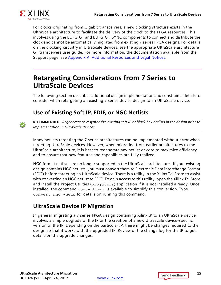

For clocks originating from Gigabit transceivers, a new clocking structure exists in the UltraScale architecture to facilitate the delivery of the clock to the FPGA resources. This involves using the BUFG\_GT and BUFG\_GT\_SYNC components to connect and distribute the clock and cannot be automatically migrated from existing 7 series FPGA designs. For details on the clocking circuitry in UltraScale devices, see the appropriate UltraScale architecture GT transceivers user guide. For more information, the documentation available from the Support page; see [Appendix A, Additional Resources and Legal Notices](#page-32-4).

### <span id="page-14-0"></span>**Retargeting Considerations from 7 Series to UltraScale Devices**

The following section describes additional design implementation and constraints details to consider when retargeting an existing 7 series device design to an UltraScale device.

### <span id="page-14-1"></span>**Use of Existing Soft IP, EDIF, or NGC Netlists**



**RECOMMENDED:** *Regenerate or resynthesize existing soft IP or black box netlists in the design prior to implementation in UltraScale devices.*

Many netlists targeting the 7 series architectures can be implemented without error when targeting UltraScale devices. However, when migrating from earlier architectures to the UltraScale architecture, it is best to regenerate any netlist or core to maximize efficiency and to ensure that new features and capabilities are fully realized.

NGC format netlists are no longer supported in the UltraScale architecture. If your existing design contains NGC netlists, you must convert them to Electronic Data Interchange Format (EDIF) before targeting an UltraScale device. There is a utility in the Xilinx Tcl Store to assist with converting an NGC netlist to EDIF. To gain access to this utility, open the Xilinx Tcl Store and install the Project Utilities (projutils) application if it is not installed already. Once installed, the command convert\_ngc is available to simplify this conversion. Type convert\_ngc -help for details on running this command.

### <span id="page-14-2"></span>**UltraScale Device IP Migration**

In general, migrating a 7 series FPGA design containing Xilinx IP to an UltraScale device involves a simple upgrade of the IP or the creation of a new UltraScale device-specific version of the IP. Depending on the particular IP, there might be changes required to the design so that it works with the upgraded IP. Review of the change log for the IP to get details on the upgrade changes.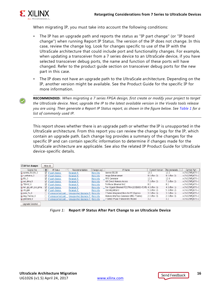

When migrating IP, you must take into account the following conditions:

- The IP has an upgrade path and reports the status as "IP part change" (or "IP board change") when running Report IP Status. The version of the IP does not change. In this case, review the change log. Look for changes specific to use of the IP with the UltraScale architecture that could include port and functionality changes. For example, when updating a transceiver from a 7 series device to an UltraScale device, if you have selected transceiver debug ports, the name and function of these ports will have changed. Refer to the product guide section on transceiver debug ports for the new part in this case.
- The IP does not have an upgrade path to the UltraScale architecture. Depending on the IP, another version might be available. See the Product Guide for the specific IP for more information.

**RECOMMENDED:** *When migrating a 7 series FPGA design, first create or modify your project to target the UltraScale device. Next, upgrade the IP to the latest available version in the Vivado tools release you are using. Then generate a Report IP Status report, as shown in the figure below. See [Table 1](#page-16-2) for a list of commonly used IP.*

This report shows whether there is an upgrade path or whether the IP is unsupported in the UltraScale architecture. From this report you can review the change logs for the IP, which contain an upgrade path. Each change log provides a summary of the changes for the specific IP and can contain specific information to determine if changes made for the UltraScale architecture are applicable. See also the related IP Product Guide for UltraScale device-specific details.

| $\vee$ 10 Part changes |   | Hide All                       |                                                        |            |                                                          |                        |              |                  |
|------------------------|---|--------------------------------|--------------------------------------------------------|------------|----------------------------------------------------------|------------------------|--------------|------------------|
| Source File            | П | IP Status                      | Recommendation                                         | Change Log | IP Name                                                  | <b>Current Version</b> | Recommende.  | Current Part     |
| a aurora 8b10b 0       |   | $\blacksquare$ IP part change. | Retarget IP.                                           | More info  | Aurora 8B10B                                             | 10.2                   | 10.2         | xc7k325tffg676-2 |
| ta v_enhance_0         |   | $\blacksquare$ IP part change. | Retarget IP.                                           | More info  | Image Enhancement                                        | 8.0 (Rev. 3)           | 8.0 (Rev. 3) | xc7k325tffg676-2 |
| ta fifo_0              |   | $\blacksquare$ IP part change. | Retarget IP.                                           | More info  | FIFO Generator                                           | 12.0                   | 12.0         | xc7k325tffg676-2 |
| tae axi_dma_0          |   | $\vee$ IP part change.         | Retarget IP.                                           | More info  | AXI Direct Memory Access                                 | 7.1 (Rev. 2)           | 7.1 (Rev. 2) | xc7k325tffa676-2 |
| <b>FEMACO</b>          |   | $\blacksquare$ IP part change. | Retarget IP.                                           | More info  | Tri Mode Ethernet MAC                                    | 8.2                    | 8.2          | xc7k325tffg676-2 |
| ta ten_gig_eth_pcs_pma |   | $\blacksquare$ IP part change. | Retarget IP.                                           | More info  | Ten Gigabit Ethernet PCS/PMA (10GBASE-R/KR) 4.1 (Rev. 1) |                        | 4.1 (Rev. 1) | xc7k325tffa676-2 |
| <del>龜</del> clk_gen   |   | $\blacksquare$ IP part change. | Retarget IP.                                           | More info  | Clocking Wizard                                          | 5.1 (Rev. 2)           | 5.1 (Rev. 2) | xc7k325tffa676-2 |
| 编 pcie_7x_0            |   | IP unsupported part.           | Unsupported Upgrade IP. More info.                     |            | 7 Series Integrated Block for PCI Express                | 3.0 (Rev. 1)           | 3.0 (Rev. 1) | xc7k325tffg676-2 |
| 編 mig_7series_0        |   | IP unsupported part.           | Unsupported Upgrade IP. More info                      |            | Memory Interface Generator (MIG 7 Series)                | 2.0 (Rev. 3)           | 2.0 (Rev. 3) | xc7k325tffa676-2 |
| atwizard 0             |   |                                | IP unsupported part Unsupported Upgrade IP. More info. |            | 7 Series FPGAs Transceivers Wizard                       | 3.2                    | 3.2          | xc7k325tffa676-2 |
| Upgrade Selected       |   |                                |                                                        |            |                                                          |                        |              |                  |

*Figure 1:* **Report IP Status After Part Change to an UltraScale Device**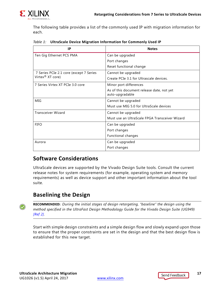The following table provides a list of the commonly used IP with migration information for each.

<span id="page-16-2"></span>

| Table 1: UltraScale Device Migration Information for Commonly Used IP |  |  |
|-----------------------------------------------------------------------|--|--|
|                                                                       |  |  |

| IP                                      | <b>Notes</b>                                                 |
|-----------------------------------------|--------------------------------------------------------------|
| Ten Gig Ethernet PCS PMA                | Can be upgraded                                              |
|                                         | Port changes                                                 |
|                                         | Reset functional change                                      |
| 7 Series PCIe 2.1 core (except 7 Series | Cannot be upgraded                                           |
| Virtex <sup>®</sup> XT core)            | Create PCIe 3.1 for Ultrascale devices.                      |
| 7 Series Virtex XT PCIe 3.0 core        | Minor port differences                                       |
|                                         | As of this document release date, not yet<br>auto-upgradable |
| MIG                                     | Cannot be upgraded                                           |
|                                         | Must use MIG 5.0 for UltraScale devices                      |
| <b>Transceiver Wizard</b>               | Cannot be upgraded                                           |
|                                         | Must use an UltraScale FPGA Transceiver Wizard               |
| <b>FIFO</b>                             | Can be upgraded                                              |
|                                         | Port changes                                                 |
|                                         | Functional changes                                           |
| Aurora                                  | Can be upgraded                                              |
|                                         | Port changes                                                 |

### <span id="page-16-0"></span>**Software Considerations**

UltraScale devices are supported by the Vivado Design Suite tools. Consult the current release notes for system requirements (for example, operating system and memory requirements) as well as device support and other important information about the tool suite.

### <span id="page-16-1"></span>**Baselining the Design**

**RECOMMENDED:** *During the initial stages of design retargeting, "baseline" the design using the method specified in the UltraFast Design Methodology Guide for the Vivado Design Suite (UG949) [\[Ref 2\].](#page-33-5)* 

Start with simple design constraints and a simple design flow and slowly expand upon those to ensure that the proper constraints are set in the design and that the best design flow is established for this new target.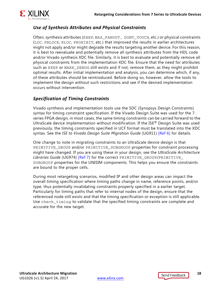

#### *Use of Synthesis Attributes and Physical Constraints*

Often, synthesis attributes (KEEP, MAX\_FANOUT, DONT\_TOUCH, etc.) or physical constraints (LOC, PBLOCK, RLOC, PROHIBIT, etc.) that improved the results in earlier architectures might not apply and/or might degrade the results targeting another device. For this reason, it is best to reevaluate and potentially remove all synthesis attributes from the HDL code and/or Vivado synthesis XDC file. Similarly, it is best to evaluate and potentially remove all physical constraints from the implementation XDC file. Ensure that the need for attributes such as KEEP or MARK DEBUG still exists and if not, remove them, as they might prohibit optimal results. After initial implementation and analysis, you can determine which, if any, of these attributes should be reintroduced. Before doing so, however, allow the tools to implement the design without such restrictions and see if the desired implementation occurs without intervention.

#### *Specification of Timing Constraints*

Vivado synthesis and implementation tools use the SDC (Synopsys Design Constraints) syntax for timing constraint specification. If the Vivado Design Suite was used for the 7 series FPGA design, in most cases, the same timing constraints can be carried forward to the UltraScale device implementation without modification. If the ISE® Design Suite was used previously, the timing constraints specified in UCF format must be translated into the XDC syntax. See the *ISE to Vivado Design Suite Migration Guide* (UG911) [\[Ref 6\]](#page-33-9) for details.

One change to note in migrating constraints to an UltraScale device design is that PRIMITIVE\_GROUP and/or PRIMITIVE\_SUBGROUP properties for constraint processing might have changed. If you are using these in your design, see the *UltraScale Architecture Libraries Guide* (UG974) [\[Ref 7\]](#page-33-4) for the correct PRIMITIVE\_GROUP/PRIMITIVE\_ SUBGROUP properties for the UNISIM components. This helps you ensure the constraints are bound to the proper cells.

During most retargeting scenarios, modified IP and other design areas can impact the overall timing specification where timing paths change in name, reference points, and/or type, thus potentially invalidating constraints properly specified in a earlier target. Particularly for timing paths that refer to internal nodes of the design, ensure that the referenced node still exists and that the timing specification or exception is still applicable. Use check\_timing to validate that the specified timing constraints are complete and accurate for the new target.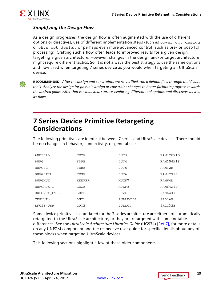

#### *Simplifying the Design Flow*

As a design progresses, the design flow is often augmented with the use of different options or directives, use of different implementation steps (such as power\_opt\_design or phys\_opt\_design, or perhaps even more advanced control (such as pre- or post-Tcl processing). Crafting such a flow often leads to improved results for a given design targeting a given architecture. However, changes in the design and/or target architecture might require different tactics. So, it is not always the best strategy to use the same options and flow used when targeting 7 series device as you would when targeting an UltraScale device.

**RECOMMENDED:** *After the design and constraints are re-verified, run a default flow through the Vivado tools. Analyze the design for possible design or constraint changes to better facilitate progress towards the desired goals. After that is exhausted, start re-exploring different tool options and directives as well as flows.*

### <span id="page-18-0"></span>**7 Series Device Primitive Retargeting Considerations**

The following primitives are identical between 7 series and UltraScale devices. There should be no changes in behavior, connectivity, or general use:

| AND2B1L             | FDCE             | LUT3     | RAM128X1D |
|---------------------|------------------|----------|-----------|
| <b>BUFG</b>         | FDPE             | LUT4     | RAM256X1S |
| <b>BUFGCE</b>       | FDRE             | LUT5     | RAM32M    |
| <b>BUFGCTRL</b>     | FDSE             | LUT6     | RAM32X1S  |
| <b>BUFGMUX</b>      | KEEPER           | MUXF7    | RAM64M    |
| BUFGMUX 1           | LDCE             | MUXF8    | RAM64X1D  |
| <b>BUFGMUX CTRL</b> | LDPE             | OR2L     | RAM64X1S  |
| CFGLUT5             | LUT1             | PULLDOWN | SRL16E    |
| EFUSE USR           | LUT <sub>2</sub> | PULLUP   | SRLC32E   |

Some device primitives instantiated for the 7 series architecture are either not automatically retargeted to the UltraScale architecture, or they are retargeted with some notable differences. See the *UltraScale Architecture Libraries Guide* (UG974) [\[Ref 7\]](#page-33-4), for more details on any UNISIM component and the respective user guide for specific details about any of these blocks when targeting UltraScale devices.

This following sections highlight a few of these older components.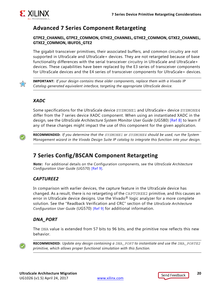

### <span id="page-19-0"></span>**Advanced 7 Series Component Retargeting**

#### **GTPE2\_CHANNEL, GTPE2\_COMMON, GTHE2\_CHANNEL, GTHE2\_COMMON, GTXE2\_CHANNEL, GTXE2\_COMMON, IBUFDS\_GTE2**

The gigabit transceiver primitives, their associated buffers, and common circuitry are not supported in UltraScale and UltraScale+ devices. They are not retargeted because of base functionality differences with the serial transceiver circuitry in UltraScale and UltraScale+ devices. These capabilities have been replaced by the E3 series of transceiver components for UltraScale devices and the E4 series of transceiver components for UltraScale+ devices.



**IMPORTANT:** *If your design contains these older components, replace them with a Vivado IP Catalog-generated equivalent interface, targeting the appropriate UltraScale device.*

#### *XADC*

Some specifications for the UltraScale device SYSMONE1 and UltraScale+ device SYSMONE4 differ from the 7 series device XADC component. When using an instantiated XADC in the design, see the *UltraScale Architecture System Monitor User Guide* (UG580) [\[Ref 8\]](#page-33-10) to learn if any of these changes might impact the use of this component for the given application.



**RECOMMENDED:** *If you determine that the SYSMONE1 or SYSMONE4 should be used, run the System Management wizard in the Vivado Design Suite IP catalog to integrate this function into your design.*

### <span id="page-19-1"></span>**7 Series Config/BSCAN Component Retargeting**

*Note:* For additional details on the Configuration components, see the *UltraScale Architecture Configuration User Guide* (UG570) [\[Ref 9\].](#page-33-11)

### *CAPTUREE2*

In comparison with earlier devices, the capture feature in the UltraScale device has changed. As a result, there is no retargeting of the CAPTUREE2 primitive, and this causes an error in UltraScale device designs. Use the Vivado<sup>®</sup> logic analyzer for a more complete solution. See the "Readback Verification and CRC" section of the *UltraScale Architecture Configuration User Guide* (UG570) [\[Ref 9\]](#page-33-11) for additional information.

### *DNA\_PORT*

The DNA value is extended from 57 bits to 96 bits, and the primitive now reflects this new behavior.



**RECOMMENDED:** *Update any design containing a DNA\_PORT to instantiate and use the DNA\_PORTE2 primitive, which allows proper functional simulation with this function.*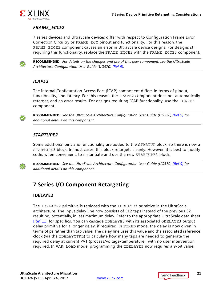

#### *FRAME\_ECCE2*

7 series devices and UltraScale devices differ with respect to Configuration Frame Error Correction Circuitry or FRAME\_ECC pinout and functionality. For this reason, the FRAME\_ECCE2 component causes an error in UltraScale device designs. For designs still requiring this functionality, replace the FRAME\_ECCE2 with the FRAME\_ECCE3 component.



**RECOMMENDED:** *For details on the changes and use of this new component, see the UltraScale Architecture Configuration User Guide (UG570) [\[Ref 9\].](#page-33-11)*

#### *ICAPE2*

The Internal Configuration Access Port (ICAP) component differs in terms of pinout, functionality, and latency. For this reason, the ICAPE2 component does not automatically retarget, and an error results. For designs requiring ICAP functionality, use the ICAPE3 component.



**RECOMMENDED:** *See the UltraScale Architecture Configuration User Guide (UG570) [\[Ref 9\]](#page-33-11) for additional details on this component.*

#### *STARTUPE2*

Some additional pins and functionality are added to the STARTUP block, so there is now a STARTUPE3 block. In most cases, this block retargets cleanly. However, it is best to modify code, when convenient, to instantiate and use the new STARTUPE3 block.



**RECOMMENDED:** *See the UltraScale Architecture Configuration User Guide (UG570) [\[Ref 9\]](#page-33-11) for additional details on this component.*

### <span id="page-20-0"></span>**7 Series I/O Component Retargeting**

#### **IDELAYE2**

The IDELAYE2 primitive is replaced with the IDELAYE3 primitive in the UltraScale architecture. The input delay line now consists of 512 taps instead of the previous 32, resulting, potentially, in less maximum delay. Refer to the appropriate UltraScale data sheet [\[Ref 11\]](#page-33-12) for specifics. You can cascade IDELAYE3 with its associated ODELAYE3 output delay primitive for a longer delay, if required. In FIXED mode, the delay is now given in terms of ps rather than tap value. The delay line uses this value and the associated reference clock (via the IDELAYCTRL) to calculate how many taps are needed to generate the required delay at current PVT (process/voltage/temperature), with no user intervention required. In VAR\_LOAD mode, programming the IDELAYE3 now requires a 9-bit value.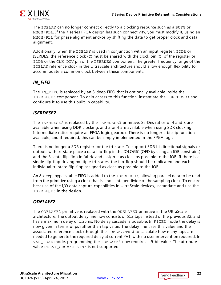

The IDELAY can no longer connect directly to a clocking resource such as a BUFG or MMCM/PLL. If the 7 series FPGA design has such connectivity, you must modify it, using an MMCM/PLL for phase alignment and/or by shifting the data to get proper clock and data alignment.

Additionally, when the IDELAY is used in conjunction with an input register, IDDR or ISERDES, the reference clock  $(C)$  must be shared with the clock pin  $(C)$  of the register or IDDR or the CLK\_DIV pin of the ISERDES component. The greater frequency range of the IDELAY reference clock in the UltraScale architecture should allow enough flexibility to accommodate a common clock between these components.

#### *IN\_FIFO*

The IN FIFO is replaced by an 8-deep FIFO that is optionally available inside the ISERDESE3 component. To gain access to this function, instantiate the ISERDESE3 and configure it to use this built-in capability.

#### *ISERDESE2*

The ISERDESE2 is replaced by the ISERDESE3 primitive. SerDes ratios of 4 and 8 are available when using DDR clocking, and 2 or 4 are available when using SDR clocking. Intermediate ratios require an FPGA logic gearbox. There is no longer a bitslip function available, and if required, this can be simply implemented in the FPGA logic.

There is no longer a SDR register for the tri-state. To support SDR bi-directional signals or outputs with tri-state place a data flip-flop in the IOLOGIC (OFD by using an IOB constraint) and the 3-state flip-flop in fabric and assign it as close as possible to the IOB. If there is a single flip-flop driving multiple tri-states, the flip-flop should be replicated and each individual tri-state flip-flop assigned as close as possible to the IOB.

An 8-deep, bypass-able FIFO is added to the ISERDESE3, allowing parallel data to be read from the primitive using a clock that is a non-integer divide of the sampling clock. To ensure best use of the I/O data capture capabilities in UltraScale devices, instantiate and use the ISERDESE3 in the design.

#### *ODELAYE2*

The ODELAYE2 primitive is replaced with the ODELAYE3 primitive in the UltraScale architecture. The output delay line now consists of 512 taps instead of the previous 32, and has a maximum delay of 1.25 ns. No delay cascade is possible. In FIXED mode the delay is now given in terms of ps rather than tap value. The delay line uses this value and the associated reference clock (through the IDELAYCTRL) to calculate how many taps are needed to generate the required delay at current PVT, with no user intervention required. In VAR\_LOAD mode, programming the IDELAYE3 now requires a 9-bit value. The attribute value DELAY\_SRC="CLKIN" is not supported.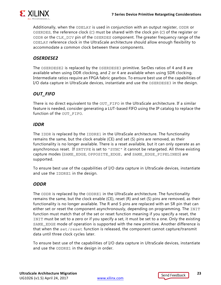

Additionally, when the ODELAY is used in conjunction with an output register, ODDR or OSERDES, the reference clock (C) must be shared with the clock pin (C) of the register or ODDR or the CLK\_DIV pin of the OSERDES component. The greater frequency range of the ODELAY reference clock in the UltraScale architecture should allow enough flexibility to accommodate a common clock between these components.

#### *OSERDESE2*

The OSERDESE2 is replaced by the OSERDESE3 primitive. SerDes ratios of 4 and 8 are available when using DDR clocking, and 2 or 4 are available when using SDR clocking. Intermediate ratios require an FPGA fabric gearbox. To ensure best use of the capabilities of I/O data capture in UltraScale devices, instantiate and use the OSERDESE3 in the design.

### *OUT\_FIFO*

There is no direct equivalent to the OUT\_FIFO in the UltraScale architecture. If a similar feature is needed, consider generating a LUT-based FIFO using the IP catalog to replace the function of the OUT FIFO.

#### *IDDR*

The IDDR is replaced by the IDDRE1 in the UltraScale architecture. The functionality remains the same, but the clock enable (CE) and set (S) pins are removed, as their functionality is no longer available. There is a reset available, but it can only operate as an asynchronous reset. If SRTYPE is set to "SYNC" it cannot be retargeted. All three existing capture modes (SAME\_EDGE, OPPOSITE\_EDGE, and SAME\_EDGE\_PIPELINED) are supported.

To ensure best use of the capabilities of I/O data capture in UltraScale devices, instantiate and use the IDDRE1 in the design.

#### *ODDR*

The ODDR is replaced by the ODDRE1 in the UltraScale architecture. The functionality remains the same, but the clock enable (CE), reset (R) and set (S) pins are removed, as their functionality is no longer available. The R and S pins are replaced with an SR pin that can either set or reset the component asynchronously, depending on programming. The INIT function must match that of the set or reset function meaning if you specify a reset, the INIT must be set to a zero or if you specify a set, it must be set to a one. Only the existing SAME\_EDGE mode of operation is supported with the new primitive. Another difference is that when the set/reset function is released, the component cannot capture/transmit data until three clock cycles later.

To ensure best use of the capabilities of I/O data capture in UltraScale devices, instantiate and use the ODDRE1 in the design in order.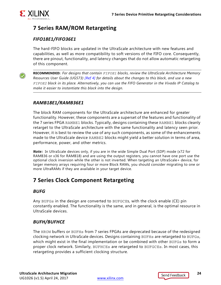

### <span id="page-23-0"></span>**7 Series RAM/ROM Retargeting**

### *FIFO18E1/FIFO36E1*

The hard-FIFO blocks are updated in the UltraScale architecture with new features and capabilities, as well as more compatibility to soft versions of the FIFO core. Consequently, there are pinout, functionality, and latency changes that do not allow automatic retargeting of this component.

**RECOMMENDED:** *For designs that contain FIFOE1 blocks, review the UltraScale Architecture Memory Resources User Guide (UG573) [\[Ref 4\]](#page-33-7) for details about the changes to this block, and use a new FIFOE2 block in its place. Alternatively, you can use the FIFO Generator in the Vivado IP Catalog to make it easier to instantiate this block into the design.*

#### *RAMB18E1/RAMB36E1*

The block RAM components for the UltraScale architecture are enhanced for greater functionality. However, these components are a superset of the features and functionality of the 7 series FPGA RAMBE1 blocks. Typically, designs containing these RAMBE1 blocks cleanly retarget to the UltraScale architecture with the same functionality and latency seen prior. However, it is best to review the use of any such components, as some of the enhancements made to the UltraScale device RAMBE2 blocks might yield a better solution in terms of area, performance, power, and other metrics.

*Note:* In UltraScale devices only, if you are in the wide Simple Dual Port (SDP) mode (x72 for RAMB36 or x36 for RAMB18) and are using the output registers, you cannot have one port use the optional clock inversion while the other is not inverted. When targeting an UltraScale+ device, for larger memory arrays requiring four or more Block RAMs, you should consider migrating to one or more UltraRAMs if they are available in your target device.

### <span id="page-23-1"></span>**7 Series Clock Component Retargeting**

#### *BUFG*

Any BUFGs in the design are converted to BUFGCEs, with the clock enable (CE) pin constantly enabled. The functionality is the same, and in general, is the optimal resource in UltraScale devices.

#### *BUFH/BUFHCE*

The HROW buffers or BUFHs from 7 series FPGAs are deprecated because of the redesigned clocking network in UltraScale devices. Designs containing BUFHs are retargeted to BUFGs, which might exist in the final implementation or be combined with other BUFGs to form a proper clock network. Similarly, BUFHCEs are retargeted to BUFGCEs. In most cases, this retargeting provides a sufficient clocking structure.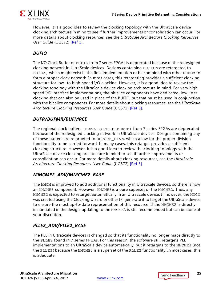

However, it is a good idea to review the clocking topology with the UltraScale device clocking architecture in mind to see if further improvements or consolidation can occur. For more details about clocking resources, see the *UltraScale Architecture Clocking Resources User Guide* (UG572) [\[Ref 5\]](#page-33-8).

#### *BUFIO*

The I/O Clock Buffer or BUFIO from 7 series FPGAs is deprecated because of the redesigned clocking network in UltraScale devices. Designs containing BUFIOs are retargeted to BUFGs, which might exist in the final implementation or be combined with other BUFGs to form a proper clock network. In most cases, this retargeting provides a sufficient clocking structure for low- to high-speed I/O clocking. However, it is a good idea to review the clocking topology with the UltraScale device clocking architecture in mind. For very high speed I/O interface implementations, the bit slice components have dedicated, low jitter clocking that can also be used in place of the BUFIO, but that must be used in conjunction with the bit slice components. For more details about clocking resources, see the *UltraScale Architecture Clocking Resources User Guide* (UG572) [\[Ref 5\].](#page-33-8)

#### *BUFR/BUFMR/BUFMRCE*

The regional clock buffers (BUFR, BUFMR, BUFMRCE) from 7 series FPGAs are deprecated because of the redesigned clocking network in UltraScale devices. Designs containing any of these buffers are retargeted to BUFGCE\_DIVs, which allow for the proper division functionality to be carried forward. In many cases, this retarget provides a sufficient clocking structure. However, it is a good idea to review the clocking topology with the UltraScale device clocking architecture in mind to see if further improvements or consolidation can occur. For more details about clocking resources, see the *UltraScale Architecture Clocking Resources User Guide* (UG572) [\[Ref 5\].](#page-33-8)

#### *MMCME2\_ADV/MMCME2\_BASE*

The MMCM is improved to add additional functionality in UltraScale devices, so there is now an MMCME3 component. However, MMCME3is a pure superset of the MMCME2. Thus, any MMCME2 is expected to retarget automatically in an UltraScale device. If, however, the MMCM was created using the Clocking wizard or other IP, generate it to target the UltraScale device to ensure the most up-to-date representation of this resource. If the MMCME2 is directly instantiated in the design, updating to the MMCME3 is still recommended but can be done at your discretion.

### *PLLE2\_ADV/PLLE2\_BASE*

The PLL in UltraScale devices is changed so that its functionality no longer maps directly to the PLLE2 found in 7 series FPGAs. For this reason, the software still retargets PLL implementations to an UltraScale device automatically, but it retargets to the MMCME3 (not the PLLE3) because the MMCME3 is a superset of the PLLE2 functionality. In most cases, this is adequate.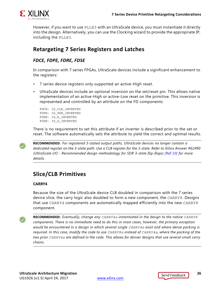

However, if you want to use PLLE3 with an UltraScale device, you must instantiate it directly into the design. Alternatively, you can use the Clocking wizard to provide the appropriate IP, including the PLLE3.

### <span id="page-25-0"></span>**Retargeting 7 Series Registers and Latches**

#### *FDCE, FDPE, FDRE, FDSE*

In comparison with 7 series FPGAs, UltraScale devices include a significant enhancement to the registers:

- 7 series device registers only supported an active-High reset.
- UltraScale devices include an optional inversion on the set/reset pin. This allows native implementation of an active-High or active-Low reset on the primitive. This inversion is represented and controlled by an attribute on the FD components:

FDCE: IS\_CLR\_INVERTED FDPE: IS\_PRE\_INVERTED FDRE: IS\_R\_INVERTED FDSE: IS\_S\_INVERTED

There is no requirement to set this attribute if an inverter is described prior to the set or reset. The software automatically sets the attribute to yield the correct and optimal results.

**RECOMMENDED:** *For registered 3-stated output paths, UltraScale devices no longer contain a dedicated register on the 3-state path. Use a CLB register for the 3-state. Refer to Xilinx Answer #62490 (UltraScale I/O - Recommended design methodology for SDR 3-state flip-flops) [\[Ref 10\]](#page-33-13) for more details.*

### <span id="page-25-1"></span>**Slice/CLB Primitives**

#### **CARRY4**

Because the size of the UltraScale device CLB doubled in comparison with the 7 series device slice, the carry logic also doubled to form a new component, the CARRY8. Designs that use CARRY4 components are automatically mapped efficiently into the new CARRY8 component.

**RECOMMENDED:** *Eventually, change any CARRY4s instantiated in the design to the native CARRY8 components. There is no immediate need to do this in most cases, however, the primary exception would be encountered in a design in which several single CARRY4s exist and where dense packing is required. In this case, modify the code to use CARRY8s instead of CARRY4s, where the packing of the two prior CARRY4s are defined in the code. This allows for denser designs that use several small carry chains.*

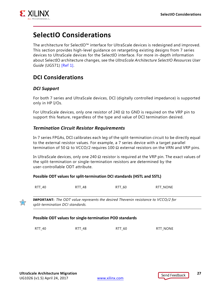

### <span id="page-26-0"></span>**SelectIO Considerations**

The architecture for SelectIO™ interface for UltraScale devices is redesigned and improved. This section provides high-level guidance on retargeting existing designs from 7 series devices to UltraScale devices for the SelectIO interface. For more in-depth information about SelectIO architecture changes, see the *UltraScale Architecture SelectIO Resources User Guide* (UG571) [\[Ref 1\].](#page-33-2)

### <span id="page-26-1"></span>**DCI Considerations**

#### *DCI Support*

For both 7 series and UltraScale devices, DCI (digitally controlled impedance) is supported only in HP I/Os.

For UltraScale devices, only one resistor of 240  $\Omega$  to GND is required on the VRP pin to support this feature, regardless of the type and value of DCI termination desired.

#### *Termination Circuit Resistor Requirements*

In 7 series FPGAs, DCI calibrates each leg of the split-termination circuit to be directly equal to the external resistor values. For example, a 7 series device with a target parallel termination of 50 Ω to VCCO/2 requires 100  $\Omega$  external resistors on the VRN and VRP pins.

In UltraScale devices, only one 240  $\Omega$  resistor is required at the VRP pin. The exact values of the split-termination or single-termination resistors are determined by the user-controllable ODT attribute.

#### **Possible ODT values for split-termination DCI standards (HSTL and SSTL)**

RTT\_48 RTT\_60 RTT\_NONE



**IMPORTANT:** *The ODT value represents the desired Thevenin resistance to VCCO/2 for split-termination DCI standards.*

#### **Possible ODT values for single-termination POD standards**

RTT\_40 RTT\_48 RTT\_60 RTT\_60 RTT\_10ONE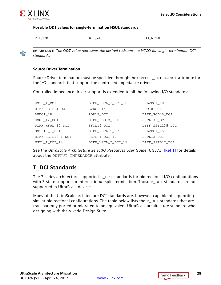

57

#### **Possible ODT values for single-termination HSUL standards**

RTT\_120 RTT\_240 RTT\_120 RTT\_120

**IMPORTANT:** *The ODT value represents the desired resistance to VCCO for single-termination DCI standards.*

#### **Source Driver Termination**

Source Driver termination must be specified through the OUTPUT\_IMPEDANCE attribute for the I/O standards that support the controlled impedance driver.

Controlled impedance driver support is extended to all the following I/O standards:

| HSTL I DCI        | DIFF_HSTL_I_DCI_18 | HSLVDCI 18       |
|-------------------|--------------------|------------------|
| DIFF HSTL I DCI   | LVDCI_15           | POD10 DCI        |
| LVDCI_18          | POD12 DCI          | DIFF POD10 DCI   |
| HSUL 12 DCI       | DIFF POD12 DCI     | SSTL135 DCI      |
| DIFF HSUL 12 DCI  | SSTL15 DCI         | DIFF SSTL135 DCI |
| SSTL18 I DCI      | DIFF SSTL15 DCI    | HSLVDCI_15       |
| DIFF SSTL18 I DCI | HSTL I DCI 12      | SSTL12 DCI       |
| HSTL I DCI 18     | DIFF HSTL I DCI 12 | DIFF SSTL12 DCI  |

See the *UltraScale Architecture SelectIO Resources User Guide* (UG571) [\[Ref 1\]](#page-33-2) for details about the OUTPUT IMPEDANCE attribute.

### <span id="page-27-0"></span>**T\_DCI Standards**

The 7 series architecture supported  $T$  DCI standards for bidirectional I/O configurations with 3-state support for internal input split-termination. Those  $T$  pcision standards are not supported in UltraScale devices.

Many of the UltraScale architecture DCI standards are, however, capable of supporting similar bidirectional configurations. The table below lists the  $T$ <sub>DCI</sub> standards that are transparently ported or migrated to an equivalent UltraScale architecture standard when designing with the Vivado Design Suite.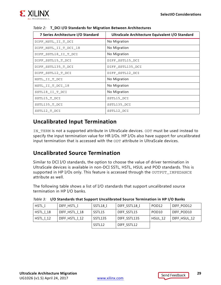

| 7 Series Architecture I/O Standard | UltraScale Architecture Equivalent I/O Standard |
|------------------------------------|-------------------------------------------------|
| DIFF HSTL II T DCI                 | No Migration                                    |
| DIFF HSTL II T DCI 18              | No Migration                                    |
| DIFF SSTL18 II T DCI               | No Migration                                    |
| DIFF SSTL15 T DCI                  | DIFF SSTL15 DCI                                 |
| DIFF SSTL135 T DCI                 | DIFF SSTL135 DCI                                |
| DIFF SSTL12 T DCI                  | DIFF SSTL12 DCI                                 |
| HSTL II T DCI                      | No Migration                                    |
| HSTL II T DCI 18                   | No Migration                                    |
| SSTL18 II T DCI                    | No Migration                                    |
| SSTL15_T_DCI                       | SSTL15 DCI                                      |
| SSTL135_T_DCI                      | SSTL135 DCI                                     |
| SSTL12 T DCI                       | SSTL12 DCI                                      |

#### *Table 2:* **T\_DCI I/O Standards for Migration Between Architectures**

### <span id="page-28-0"></span>**Uncalibrated Input Termination**

IN TERM is not a supported attribute in UltraScale devices. ODT must be used instead to specify the input termination value for HR I/Os. HP I/Os also have support for uncalibrated input termination that is accessed with the ODT attribute in UltraScale devices.

### <span id="page-28-1"></span>**Uncalibrated Source Termination**

Similar to DCI I/O standards, the option to choose the value of driver termination in UltraScale devices is available in non-DCI SSTL, HSTL, HSUL and POD standards. This is supported in HP I/Os only. This feature is accessed through the OUTPUT\_IMPEDANCE attribute as well.

The following table shows a list of I/O standards that support uncalibrated source termination in HP I/O banks.

| HSTL I           | DIFF HSTL I    | SSTL18 I | DIFF SSTL18 I | POD <sub>12</sub> | DIFF POD12   |
|------------------|----------------|----------|---------------|-------------------|--------------|
| HSTL I 18        | DIFF HSTL I 18 | SSTL15   | DIFF SSTL15   | POD <sub>10</sub> | DIFF POD10   |
| <b>HSTL I 12</b> | DIFF HSTL I 12 | SSTL135  | DIFF SSTL135  | HSUL 12           | DIFF HSUL 12 |
|                  |                | SSTL12   | DIFF SSTL12   |                   |              |

|  | Table 3: I/O Standards that Support Uncalibrated Source Termination in HP I/O Banks |
|--|-------------------------------------------------------------------------------------|
|--|-------------------------------------------------------------------------------------|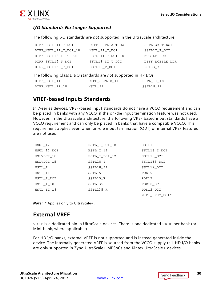

### *I/O Standards No Longer Supported*

The following I/O standards are *not* supported in the UltraScale architecture:

| DIFF HSTL II T DCI    | DIFF SSTL12 T DCI | SSTL135 T DCI   |
|-----------------------|-------------------|-----------------|
| DIFF HSTL II T DCI 18 | HSTL II T DCI     | SSTL12 T DCI    |
| DIFF SSTL18 II T DCI  | HSTL_II_T_DCI_18  | MOBILE DDR      |
| DIFF SSTL15 T DCI     | SSTL18 II T DCI   | DIFF MOBILE DDR |
| DIFF SSTL135 T DCI    | SSTL15 T DCI      | PCI33 3         |

The following Class II I/O standards are *not* supported in HP I/Os:

| DIFF HSTL II    | DIFF SSTL18 II | HSTL II 18 |
|-----------------|----------------|------------|
| DIFF HSTL II 18 | HSTL II        | SSTL18 II  |

### <span id="page-29-0"></span>**VREF-based Inputs Standards**

In 7-series devices, VREF-based input standards do not have a VCCO requirement and can be placed in banks with any VCCO, if the on-die input termination feature was not used. However, in the UltraScale architecture, the following VREF based input standards have a VCCO requirement and can only be placed in banks that have a compatible VCCO. This requirement applies even when on-die input termination (ODT) or internal VREF features are not used.

| HSUL 12     | HSTL I DCI 18 | SSTL12            |
|-------------|---------------|-------------------|
| HSUL 12 DCI | HSTL I 12     | SSTL18 I DCI      |
| HSLVDCI 18  | HSTL I DCI 12 | SSTL15 DCI        |
| HSLVDCI 15  | SSTL18 I      | SSTL135 DCI       |
| HSTL I      | SSTL18 II     | SSTL12 DCI        |
| HSTL II     | SSTL15        | POD <sub>10</sub> |
| HSTL I DCI  | SSTL15 R      | POD <sub>12</sub> |
| HSTL I 18   | SSTL135       | POD10 DCI         |
| HSTL II 18  | SSTL135 R     | POD12 DCI         |
|             |               | MIPI DPHY DCI*    |

*Note:* \* Applies only to UltraScale+.

### <span id="page-29-1"></span>**External VREF**

VREF is a dedicated pin in UltraScale devices. There is one dedicated VREF per bank (or Mini-bank, where applicable).

For HD I/O banks, external VREF is not supported and is instead generated inside the device. The internally generated VREF is sourced from the VCCO supply rail. HD I/O banks are only supported in Zynq UltraScale+ MPSoCs and Kintex UltraScale+ devices.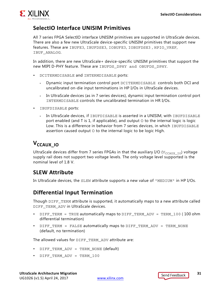

### <span id="page-30-0"></span>**SelectIO Interface UNISIM Primitives**

All 7 series FPGA SelectIO interface UNISIM primitives are supported in UltraScale devices. There are also a few new UltraScale device-specific UNISIM primitives that support new features. These are IBUFE3, IBUFDSE3, IOBUFE3, IOBUFDSE3 , HPIO\_VREF, IBUF\_ANALOG.

In addition, there are new UltraScale+ device-specific UNISIM primitives that support the new MIPI D-PHY feature. These are IBUFDS\_DPHY and OBUFDS\_DPHY.

- DCITERMDISABLE and INTERMDISABLE ports:
	- ° Dynamic input termination control port DCITERMDISABLE controls both DCI and uncalibrated on-die input terminations in HP I/Os in UltraScale devices.
	- ° In UltraScale devices (as in 7 series devices), dynamic input termination control port INTERMDISABLE controls the uncalibrated termination in HR I/Os.
- IBUFDISABLE ports:
	- In UltraScale devices, if IBUFDISABLE is asserted in a UNISIM, with IBUFDISABLE port enabled (and T is 1, if applicable), and output  $\circ$  to the internal logic is logic Low. This is a difference in behavior from 7 series devices, in which IBUFDISABLE assertion caused output O to the internal logic to be logic High.

### <span id="page-30-1"></span>**V<sub>CCAUX</sub>** 10

UltraScale devices differ from 7 series FPGAs in that the auxiliary I/O ( $V_{CCAUX\_IO}$ ) voltage supply rail does not support two voltage levels. The only voltage level supported is the nominal level of 1.8 V.

### <span id="page-30-2"></span>**SLEW Attribute**

In UltraScale devices, the SLEW attribute supports a new value of "MEDIUM" in HP I/Os.

### <span id="page-30-3"></span>**Differential Input Termination**

Though DIFF\_TERM attribute is supported, it automatically maps to a new attribute called DIFF\_TERM\_ADV in UltraScale devices.

- DIFF TERM = TRUE automatically maps to DIFF TERM\_ADV = TERM\_100 (100 ohm differential termination)
- DIFF TERM = FALSE automatically maps to DIFF\_TERM\_ADV = TERM\_NONE (default, no termination)

The allowed values for DIFF\_TERM\_ADV attribute are:

- DIFF TERM ADV = TERM NONE (default)
- DIFF\_TERM\_ADV = TERM\_100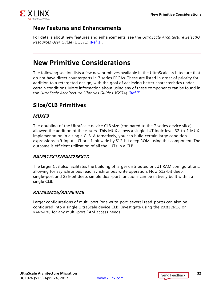

### <span id="page-31-0"></span>**New Features and Enhancements**

For details about new features and enhancements, see the *UltraScale Architecture SelectIO Resources User Guide* (UG571) [\[Ref 1\]](#page-33-2).

### <span id="page-31-1"></span>**New Primitive Considerations**

The following section lists a few new primitives available in the UltraScale architecture that do not have direct counterparts in 7 series FPGAs. These are listed in order of priority for addition to a retargeted design, with the goal of achieving better characteristics under certain conditions. More information about using any of these components can be found in the *UltraScale Architecture Libraries Guide* (UG974) [\[Ref 7\].](#page-33-4)

### <span id="page-31-2"></span>**Slice/CLB Primitives**

#### *MUXF9*

The doubling of the UltraScale device CLB size (compared to the 7 series device slice) allowed the addition of the MUXF9. This MUX allows a single LUT logic level 32-to-1 MUX implementation in a single CLB. Alternatively, you can build certain large condition expressions, a 9-input LUT or a 1-bit wide by 512-bit deep ROM, using this component. The outcome is efficient utilization of all the LUTs in a CLB.

#### *RAM512X1S/RAM256X1D*

The larger CLB also facilitates the building of larger distributed or LUT RAM configurations, allowing for asynchronous read, synchronous write operation. Now 512-bit deep, single-port and 256-bit deep, simple dual-port functions can be natively built within a single CLB.

#### *RAM32M16/RAM64M8*

Larger configurations of multi-port (one write-port, several read-ports) can also be configured into a single UltraScale device CLB. Investigate using the RAM32M16 or RAM64M8 for any multi-port RAM access needs.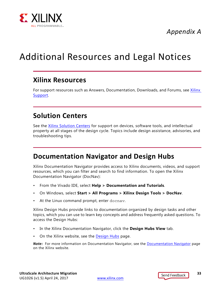

*Appendix A*

## <span id="page-32-4"></span><span id="page-32-0"></span>Additional Resources and Legal Notices

### <span id="page-32-1"></span>**Xilinx Resources**

For support resources such as Answers, Documentation, Downloads, and Forums, see [Xilinx](https://www.xilinx.com/support)  [Support](https://www.xilinx.com/support).

### <span id="page-32-2"></span>**Solution Centers**

See the [Xilinx Solution Centers](https://www.xilinx.com/support/solcenters.htm) for support on devices, software tools, and intellectual property at all stages of the design cycle. Topics include design assistance, advisories, and troubleshooting tips.

### <span id="page-32-3"></span>**Documentation Navigator and Design Hubs**

Xilinx Documentation Navigator provides access to Xilinx documents, videos, and support resources, which you can filter and search to find information. To open the Xilinx Documentation Navigator (DocNav):

- From the Vivado IDE, select **Help > Documentation and Tutorials**.
- On Windows, select **Start > All Programs > Xilinx Design Tools > DocNav**.
- At the Linux command prompt, enter docnav.

Xilinx Design Hubs provide links to documentation organized by design tasks and other topics, which you can use to learn key concepts and address frequently asked questions. To access the Design Hubs:

- In the Xilinx Documentation Navigator, click the **Design Hubs View** tab.
- On the Xilinx website, see the [Design Hubs](https://www.xilinx.com/cgi-bin/docs/ndoc?t=design+hubs) page.

*Note:* For more information on Documentation Navigator, see the [Documentation Navigator](https://www.xilinx.com/cgi-bin/docs/rdoc?t=docnav) page on the Xilinx website.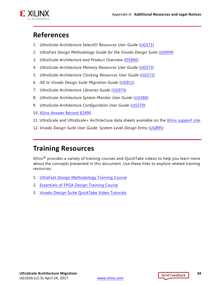

### <span id="page-33-0"></span>**References**

- <span id="page-33-2"></span>1. *UltraScale Architecture SelectIO Resources User Guide* ([UG571\)](https://www.xilinx.com/cgi-bin/docs/ndoc?t=user_guides;d=ug571-ultrascale-selectio.pdf)
- <span id="page-33-5"></span>2. *UltraFast Design Methodology Guide for the Vivado Design Suite* ([UG949\)](https://www.xilinx.com/cgi-bin/docs/rdoc?v=1.5;d=ug949-vivado-design-methodology.pdf)
- <span id="page-33-6"></span>3. *UltraScale Architecture and Product Overview* ([DS890\)](https://www.xilinx.com/cgi-bin/docs/ndoc?t=data_sheets;d=ds890-ultrascale-overview.pdf)
- <span id="page-33-7"></span>4. *UltraScale Architecture Memory Resources User Guide* ([UG573](https://www.xilinx.com/cgi-bin/docs/ndoc?t=user_guides;d=ug573-ultrascale-memory-resources.pdf))
- <span id="page-33-8"></span>5. *UltraScale Architecture Clocking Resources User Guide* [\(UG572\)](https://www.xilinx.com/cgi-bin/docs/ndoc?t=user_guides;d=ug572-ultrascale-clocking.pdf)
- <span id="page-33-9"></span>6. *ISE to Vivado Design Suite Migration Guide* ([UG911](https://www.xilinx.com/cgi-bin/docs/rdoc?v=latest;d=ug911-vivado-migration.pdf))
- <span id="page-33-4"></span>7. *UltraScale Architecture Libraries Guide* [\(UG974\)](https://www.xilinx.com/cgi-bin/docs/rdoc?d=ug974-vivado-ultrascale-libraries.pdf)
- <span id="page-33-10"></span>8. *UltraScale Architecture System Monitor User Guide* [\(UG580\)](https://www.xilinx.com/cgi-bin/docs/ndoc?t=user_guides;d=ug580-ultrascale-sysmon.pdf)
- <span id="page-33-11"></span>9. *UltraScale Architecture Configuration User Guide* ([UG570](https://www.xilinx.com/cgi-bin/docs/ndoc?t=user_guides;d=ug570-ultrascale-configuration.pdf))
- <span id="page-33-13"></span>10. [Xilinx Answer Record 62490](https://www.xilinx.com/support/answers/62490.html)
- <span id="page-33-12"></span>11. UltraScale and UltraScale+ Architecture data sheets available on the [Xilinx support site.](https://www.xilinx.com/search/support-keyword-search.html?searchKeywords=)
- <span id="page-33-3"></span>12. *Vivado Design Suite User Guide: System-Level Design Entry* [\(UG895](https://www.xilinx.com/cgi-bin/docs/rdoc?v=1.5;d=ug895-vivado-system-level-design-entry.pdf))

### <span id="page-33-1"></span>**Training Resources**

Xilinx<sup>®</sup> provides a variety of training courses and QuickTake videos to help you learn more about the concepts presented in this document. Use these links to explore related training resources:

- 1. [UltraFast Design Methodology Training Course](https://www.xilinx.com/cgi-bin/docs/ndoc?t=training;d=fpga/fpga-design-methodology.htm)
- 2. [Essentials of FPGA Design Training Course](https://www.xilinx.com/cgi-bin/docs/ndoc?t=training;d=fpga/essentials-of-fpga-design.htm)
- 3. [Vivado Design Suite QuickTake Video Tutorials](https://www.xilinx.com/cgi-bin/docs/ndoc?t=vivado+videos)